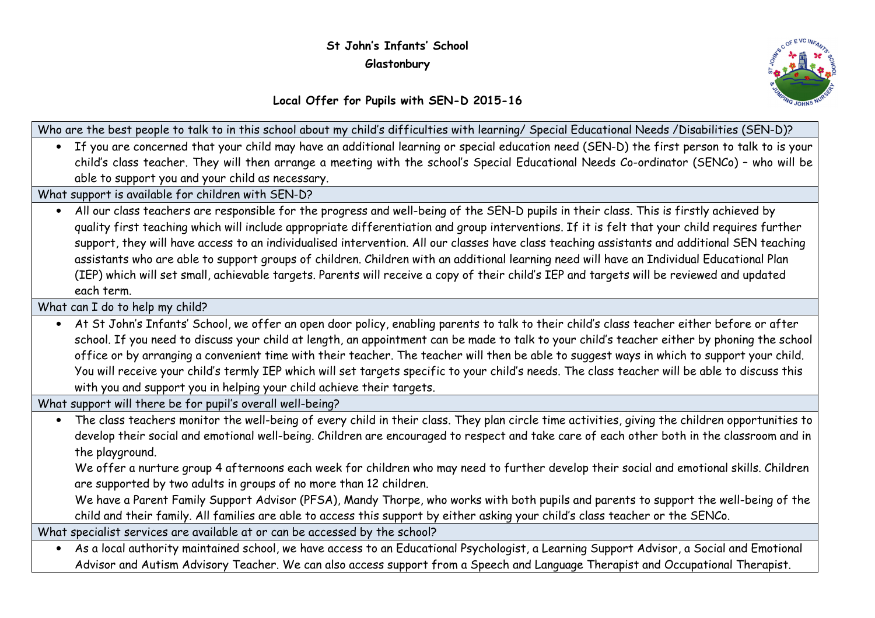## St John's Infants' School **Glastonbury**



## Local Offer for Pupils with SEN-D 2015-16

| Who are the best people to talk to in this school about my child's difficulties with learning/ Special Educational Needs /Disabilities (SEN-D)?         |
|---------------------------------------------------------------------------------------------------------------------------------------------------------|
| • If you are concerned that your child may have an additional learning or special education need (SEN-D) the first person to talk to is your            |
| child's class teacher. They will then arrange a meeting with the school's Special Educational Needs Co-ordinator (SENCo) - who will be                  |
| able to support you and your child as necessary.                                                                                                        |
| What support is available for children with SEN-D?                                                                                                      |
| . All our class teachers are responsible for the progress and well-being of the SEN-D pupils in their class. This is firstly achieved by                |
| quality first teaching which will include appropriate differentiation and group interventions. If it is felt that your child requires further           |
| support, they will have access to an individualised intervention. All our classes have class teaching assistants and additional SEN teaching            |
| assistants who are able to support groups of children. Children with an additional learning need will have an Individual Educational Plan               |
| (IEP) which will set small, achievable targets. Parents will receive a copy of their child's IEP and targets will be reviewed and updated               |
| each term.                                                                                                                                              |
| What can I do to help my child?                                                                                                                         |
| At St John's Infants' School, we offer an open door policy, enabling parents to talk to their child's class teacher either before or after<br>$\bullet$ |
| school. If you need to discuss your child at length, an appointment can be made to talk to your child's teacher either by phoning the school            |
| office or by arranging a convenient time with their teacher. The teacher will then be able to suggest ways in which to support your child.              |
| You will receive your child's termly IEP which will set targets specific to your child's needs. The class teacher will be able to discuss this          |
| with you and support you in helping your child achieve their targets.                                                                                   |
| What support will there be for pupil's overall well-being?                                                                                              |
| • The class teachers monitor the well-being of every child in their class. They plan circle time activities, giving the children opportunities to       |
| develop their social and emotional well-being. Children are encouraged to respect and take care of each other both in the classroom and in              |
| the playground.                                                                                                                                         |
| We offer a nurture group 4 afternoons each week for children who may need to further develop their social and emotional skills. Children                |
| are supported by two adults in groups of no more than 12 children.                                                                                      |
| We have a Parent Family Support Advisor (PFSA), Mandy Thorpe, who works with both pupils and parents to support the well-being of the                   |
| child and their family. All families are able to access this support by either asking your child's class teacher or the SENCo.                          |
| What specialist services are available at or can be accessed by the school?                                                                             |
| . As a local authority maintained school, we have access to an Educational Psychologist, a Learning Support Advisor, a Social and Emotional             |

Advisor and Autism Advisory Teacher. We can also access support from a Speech and Language Therapist and Occupational Therapist.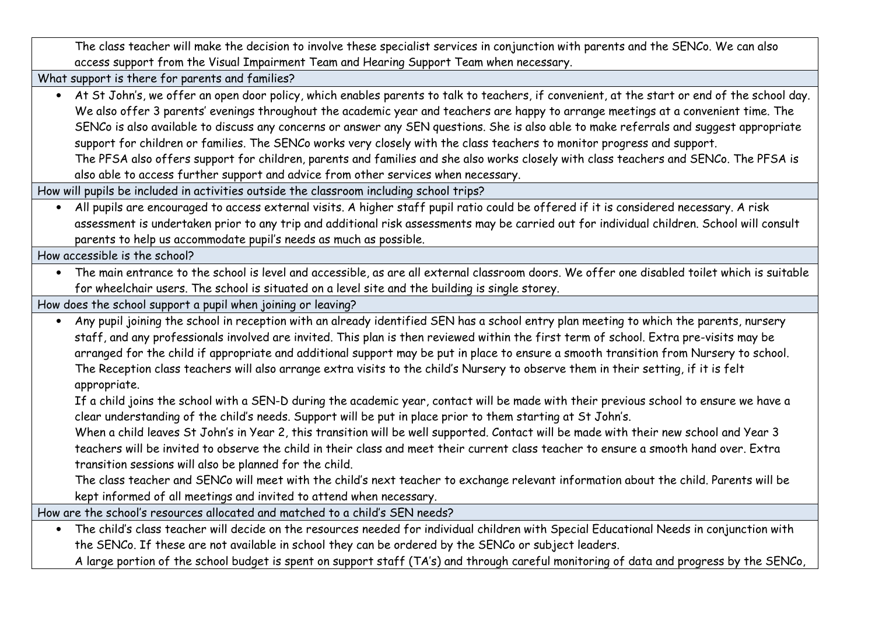The class teacher will make the decision to involve these specialist services in conjunction with parents and the SENCo. We can also access support from the Visual Impairment Team and Hearing Support Team when necessary.

What support is there for parents and families?

 • At St John's, we offer an open door policy, which enables parents to talk to teachers, if convenient, at the start or end of the school day. We also offer 3 parents' evenings throughout the academic year and teachers are happy to arrange meetings at a convenient time. The SENCo is also available to discuss any concerns or answer any SEN questions. She is also able to make referrals and suggest appropriate support for children or families. The SENCo works very closely with the class teachers to monitor progress and support.

The PFSA also offers support for children, parents and families and she also works closely with class teachers and SENCo. The PFSA is also able to access further support and advice from other services when necessary.

How will pupils be included in activities outside the classroom including school trips?

 • All pupils are encouraged to access external visits. A higher staff pupil ratio could be offered if it is considered necessary. A risk assessment is undertaken prior to any trip and additional risk assessments may be carried out for individual children. School will consult parents to help us accommodate pupil's needs as much as possible.

How accessible is the school?

 • The main entrance to the school is level and accessible, as are all external classroom doors. We offer one disabled toilet which is suitable for wheelchair users. The school is situated on a level site and the building is single storey.

How does the school support a pupil when joining or leaving?

- Any pupil joining the school in reception with an already identified SEN has a school entry plan meeting to which the parents, nursery staff, and any professionals involved are invited. This plan is then reviewed within the first term of school. Extra pre-visits may be arranged for the child if appropriate and additional support may be put in place to ensure a smooth transition from Nursery to school. The Reception class teachers will also arrange extra visits to the child's Nursery to observe them in their setting, if it is felt appropriate.
	- If a child joins the school with a SEN-D during the academic year, contact will be made with their previous school to ensure we have a clear understanding of the child's needs. Support will be put in place prior to them starting at St John's.
	- When a child leaves St John's in Year 2, this transition will be well supported. Contact will be made with their new school and Year 3 teachers will be invited to observe the child in their class and meet their current class teacher to ensure a smooth hand over. Extra transition sessions will also be planned for the child.
	- The class teacher and SENCo will meet with the child's next teacher to exchange relevant information about the child. Parents will be kept informed of all meetings and invited to attend when necessary.

How are the school's resources allocated and matched to a child's SEN needs?

 • The child's class teacher will decide on the resources needed for individual children with Special Educational Needs in conjunction with the SENCo. If these are not available in school they can be ordered by the SENCo or subject leaders.

A large portion of the school budget is spent on support staff (TA's) and through careful monitoring of data and progress by the SENCo,